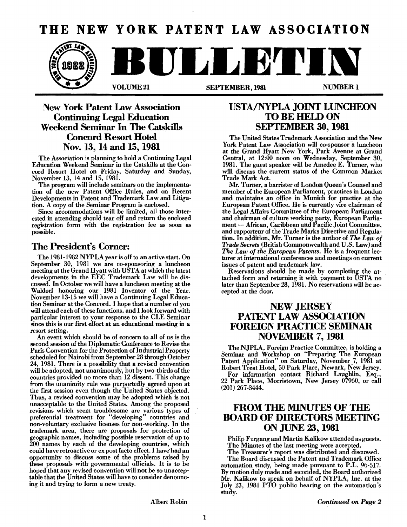# **THE NEW YORK PATENT LAW ASSOCIATION**



## New York Patent Law Association Continuing Legal Education Weekend Seminar In The Catskills Concord Resort Hotel Nov. 13, 14 and 15, 1981

The Association is planning to hold a Continuing Legal Education Weekend Seminar in the Catskills at the Concord Resort Hotel on Friday, Saturday and Sunday, November 13, 14 and 15, 1981.

The program will include seminars on the implementation of the new Patent Office Rules, and on Recent Developments in Patent and Trademark Law and Litigation. A copy of the Seminar Program is enclosed.

Since accommodations will be limited, all those interested in attending should tear off and return the enclosed registration form with the registration fee as soon as possible.

### The President's Corner:

The 1981-1982 NYPLA year is off to an active start. On September 30, 1981 we are co-sponsoring a luncheon meeting at the Grand Hyatt with USTA at which the latest developments in. the EEC Trademark Law will be discussed. In October we will have a luncheon meeting at the Waldorf honoring our 1981 Inventor of the Year. November 13-15 we will have a Continuing Legal Education Seminar at the Concord. I hope that a number of you will attend each of these functions, and I look forward with particular interest to your response to the CLE Seminar since this is our first effort at an educational meeting in a resort setting.

An event which should be of concern to all of us is the second session of the Diplomatic Conference to Revise the Paris Convention for the Protection of Industrial Property scheduled for Nairobi from September 28 through October 24, 1981. There is a possibility that a revised convention will be adopted, not unanimously, but by two-thirds of the countries provided no more than 12 dissent. This change from the unanimity rule was purportedly agreed upon at the first session even though the United States objected. Thus, a revised convention may be adopted which is not unacceptable to the United States. Among the proposed revisions which seem troublesome are various types of preferential treatment for "developing" countries and non-voluntary exclusive licenses for non-working. In the trademark area, there are proposals for protection of geographic names, including possible reservation of up to 200 names by each of the developing countries, which could have retroactive or ex post facto effect. I have'had an opportunity to discuss some of the problems raised by these proposals with governmental oHicials. It is to be hoped that any revised convention will not be so unacceptable that the United States will have to consider denouncing it and trying to form a new treaty.

### USTA/NYPLA JOINT LUNCHEON TO BE HELD ON SEPTEMBER 30, 1981

The United States Trademark Association and the New York Patent Law Association will co-sponsor a luncheon at the Grand Hyatt New York, Park Avenue at Grand Central, at 12:00 noon on Wednesday, September 30, 1981. The guest speaker will be Amedee E. Turner, who will discuss the current status of the Common Market Trade Mark Act.

Mr. Turner, a barrister of London Queen's Counsel and member of the European Parliament, practices in London and maintains an office in Munich for practice at the European Patent Office. He is currently vice chairman of the Legal Mfairs Committee of the European Parliament and chairman of culture working party, European Parliament - African, Caribbean and Pacific Joint Committee, and rapporteur of the Trade Marks Directive and Regulation. In addition, Mr. Turner is the author of *The Law of Trade Secrets* (British Commonwealth and U.S. Law) and *The Law of the European Patents.* He is a frequent lecturer at international conferences and meetings on current issues of patent and trademark law.

Reservations should be made by completing the attached form and returning it with payment to USTA no later than September 28, 1981. No reservations will be accepted at the door.

### NEW JERSEY PATENT LAW ASSOCIATION FOREIGN PRACTICE SEMINAR NOVEMBER 7, 1981

The NJPLA, Foreign Practice Committee, is holding a Seminar and Workshop on "Preparing The European Patent Application" on Saturday, November 7, 1981 at Robert Treat Hotel, 50 Park Place, Newark, New Jersey.

For information contact Richard Laughlin, Esq., 22 Park Place, Morristown, New Jersey 07960, or call (201) 267-3444.

### FROM THE MINUTES OF THE **BOARD OF DIRECTORS MEETING** ON JUNE 23, 1981

Philip Furgang and Martin Kalikow attended as guests. The Minutes of the last meeting were accepted.

The Treasurer's report was distributed and discussed.

The Board discussed the Patent and Trademark Office automation study, being made pursuant to P.L. 96-517. By motion duly made and seconded, the Board authorized Mr. Kalikow to speak on behalf of NYPLA, Inc. at the July 23, 1981 PTO public hearing on the automation's study.

Albert Robin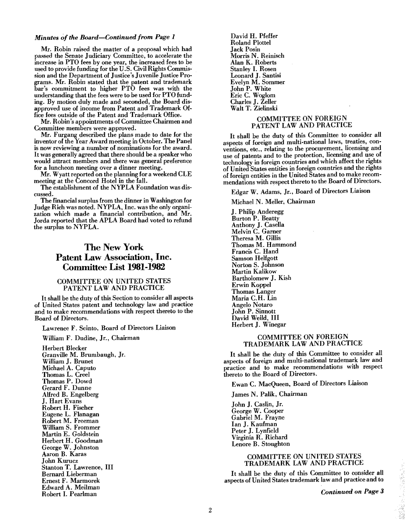#### *Minutes of the Board-Continued from Page 1*

Mr. Robin raised the matter of a proposal which had passed the Senate Judiciary Committee, to accelerate the increase in PTO fees by one year, the increased fees to be used to provide funding for the U.S. Civil Rights Commission and the Department of Justice's Juvenile Justice Programs. Mr. Robin stated that the patent and trademark bar's commitment to higher PTO fees was with the understanding that the fees were to be used for PTO funding. By motion duly made and seconded, the Board disapproved use of income from Patent and Trademark Office fees outside of the Patent and Trademark Office.

Mr. Robin's appointments of Committee Chairmen and Committee members were approved.

Mr. Furgang described the plans made to date for the inventor of the Year Award meeting in October. The Panel is now reviewing a number of nominations for the award. It was generally agreed that there should be a speaker who would attract members and there was general preference for a luncheon meeting over a dinner meeting.

Mr. Wyatt reported on the planning for a weekend CLE meeting at the Concord Hotel in the fall.

The establishment of the NYPLA Foundation was discussed.

The financial surplus from the dinner in Washington for Judge Rich was noted. NYPLA, Inc. was the only organization which made a financial contribution, and Mr. Jorda reported that the APLA Board had voted to refund the surplus to NYPLA.

### The New York Patent Law Association, Inc. Committee List **1981-1982**

#### COMMITTEE ON UNITED STATES PATENT LAW AND PRACTICE

Itshall be the duty of this Section to consider all aspects of United States patent and technology law and practice and to make recommendations with respect thereto to the Board of Directors.

Lawrence F. Scinto, Board of Directors Liaison

William F. Dudine, Jr., Chairman Herbert Blecker Granville M. Brumbaugh, Jr. William J. Brunet Michael A. Caputo Thomas L. Creel Thomas P. Dowd Gerard F. Dunne

Allred B. Engelberg J. Hart Evans Robert H. Fischer Eugene L. Flanagan Robert M. Freeman William S. Frommer Martin E. Goldstein Herbert H. Goodman George W. Johnston Aaron B. Karas John Kurucz Stanton T. Lawrence, III Bernard Lieberman Ernest F. Marmorek

Edward A. Meihnan Robert I. Pearlman

David H. Pfeffer **Roland Plottel** Jack Posin Morris N. Heinisch Alan K. Roberts Stanley I. Rosen Leonard J. Santisi Evelyn M. Sommer John P. White Eric C. Woglom Charles J. Zeller Walt T. Zielinski

### COMMITTEE ON FOREIGN PATENT LAW AND PRACTICE

It shall be the duty of this Committee to consider all aspects of foreign and multi-national laws, treaties, conventions, etc., relating to the procurement, licensing and use of patents and to the protection, licensing and use of technology in foreign countries and which affect the rights of United States entities in foreign countries and the rights of foreign entities in the United Štates and to make recommendations with respect thereto to the Board of Directors.

Edgar W. Adams, Jr., Board of Directors Liaison

Michael N. Meller, Chairman

J. Philip Anderegg Burton P. Beatty Anthony J. Casella Melvin C. Gamer Theresa M. Gillis Thomas M. Hammond Francis C. Hand Samson Hellgott Norton S. Johnson Martin Kalikow Bartholomew J. Kish Erwin Koppel Thomas Langer Maria C.H. Lin Angelo Notaro John P. Sinnott David Weild, III Herbert J. Winegar

#### COMMITTEE ON FOREIGN TRADEMARK LAW AND PRACTICE

It shall be the duty of this Committee to consider all aspects of foreign and multi-national trademark law and practice and to make recommendations with respect thereto to the Board of Directors.

Ewan C. MacQueen, Board of Directors Liaison

James N. Palik, Chairman

John J. Caslin, Jr. George W. Cooper Gabriel M. Frayne Ian J. Kaufman Peter J. Lynfield Virginia R. Richard Lenore B. Stoughton

#### COMMITTEE ON UNITED STATES TRADEMARK LAW AND PRACTICE

It shall be the duty of this Committee to consider all aspects of United States trademark law and practice and to

*Continued on Page 3*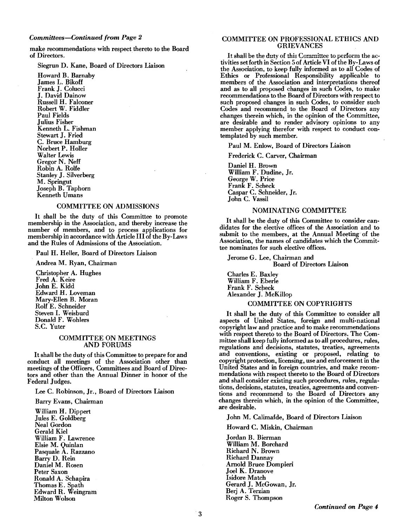make recommendations with respect thereto to the Board of Directors.

Siegrun D. Kane, Board of Directors Liaison

Howard B. Barnaby James L. Bikoff Frank J. Colucci J. David Dainow Russell H. Falconer Robert W. Fiddler Paul Fields Julius Fisher Kenneth L. Fishman Stewart J. Fried C. Bruce Hamburg Norbert P. Holler Walter Lewis Gregor N. Neff Robin A. Rolfe Stanley J. Silverberg M. Springut Joseph B. Taphom Kenneth Umans

#### COMMITTEE ON ADMISSIONS

It shall be the duty of this Committee to promote membership in the Association, and thereby increase the number of members, and to process applications for membership in accordance with Article III of the By-Laws and the Rules of Admissions of the Association.

Paul H. Heller, Board of Directors Liaison

Andrea M. Ryan, Chairman

Christopher A. Hughes Fred A. Keire John E. Kidd Edward H. Loveman Mary-Ellen B. Moran Rolf E. Schneider Steven I. Weisburd Donald F. Wohlers S.C. Yuter

#### COMMITTEE ON MEETINGS AND FORUMS

Itshall be the duty of this Committee to prepare for and conduct all meetings of the Association other than meetings of the Officers, Committees and Board of Directors and other than the Annual Dinner in honor of the Federal Judges.

Lee C. Robinson, Jr., Board of Directors Liaison

Barry Evans, Chairman

William H. Dippert Jules E. Goldberg Neal Gordon Gerald Kiel William F. Lawrence Elsie M. Quinlan Pasquale A. Razzano Barry D. Rein Daniel M. Rosen Peter Saxon Ronald A. Schapira Thomas E. Spath Edward R. Weingram Milton Wolson

#### COMMITTEE ON PROFESSIONAL ETHICS AND GRIEVANCES

It shall be the duty of this Committee to perform the activities set forth in Section 5 of Article VI of the By-Laws of the Association, to keep fully informed as to all Codes of Ethics or Professional Responsibility applicable to members of the Association and interpretations thereof and as to all proposed changes in such Codes, to make recommendations to the Board of Directors with respect to such proposed changes in such Codes, to consider such Codes and recommend to the Board of Directors any changes therein which, in the opinion of the Committee, are desirable and to render advisory opinions to any member applying therefor with respect to conduct contemplated by such member.

Paul M. Enlow, Board of Directors Liaison

Frederick C. Carver, Chairman

Daniel H. Brown William F.Dudine, Jr. George W. Price Frank F. Scheck Caspar C. Schneider, Jr. John C. Vassil

#### NOMINATING COMMITTEE

It shall be the duty of this Committee to consider candidates for the elective offices of the Association and to submit to the members, at the Annual Meeting of the Association, the names of candidates which the Committee nominates for such elective offices.

Jerome G. Lee, Chairman and Board of Directors Liaison

Charles E. Baxley William F. Eberle Frank F. Scheck Alexander J: McKillop

#### COMMITIEE ON COPYRIGHTS

It shall be the duty of this Committee to consider all aspects of United States, foreign and multi-national copyright law and practice and to make recommendations with respect thereto to the Board of Directors. The Committee shall keep fully informed as to all procedures, rules, regulations and decisions, statutes, treaties, agreements and conventions, existing or proposed, relating to copyright protection, licensing, use and enforcement in the United States and in foreign countries, and make recommendations with respect thereto to the Board of Directors and shall consider existing such procedures, rules, regulations, decisions, statutes, treaties, agreements and conventions and recommend to the Board of Directors any changes therein which, in the opinion of the Committee, are desirable.

John M. Calimafde, Board of Directors Liaison

Howard C. Miskin, Chairman

Jordan B. Bierman William M. Borchard Richard N. Brown Richard Dannay Arnold Bruce Dompieri Joel K. Dranove Isidore Match Gerard J. McGowan, Jr. Berj A. Terzian Roger S. Thompson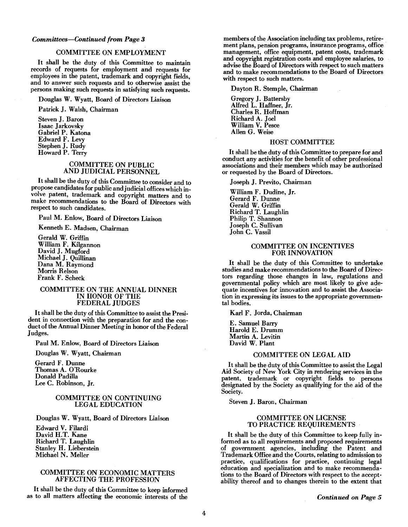#### *Committees-Continued from Page 3*

#### COMMITTEE ON EMPLOYMENT

It shall be the duty of this Committee to maintain records of requests for employment and requests for employees in the patent, trademark and copyright fields, and to answer such requests and to otherwise assist the persons making such requests in satisfying such requests.

Douglas W. Wyatt, Board of Directors Liaison

Patrick J. Walsh, Chairman

Steven J. Baron Isaac Jarkovsky Gabriel P. Katona Edward F. Levy Stephen J. Rudy Howard P. Terry

### COMMITTEE ON PUBLIC AND JUDICIAL PERSONNEL

It shall be the duty of this Committee to consider and to propose candidates for public and judicial offices which involve patent, trademark and copyright matters and to make recommendations to the Board of Directors with respect to such candidates.

Paul M. Enlow, Board of Directors Liaison

Kenneth E. Madsen, Chairman

Gerald W. Griffin William F. Kilgannon David J. Mugford Michael J. Quillinan Dana M. Raymond Morris Relson Frank F. Scheck

#### COMMITTEE ON THE ANNUAL DINNER IN HONOR OF THE FEDERAL JUDGES

It shall be the duty of this Committee to assist the President in connection with the preparation for and the conduct of the Annual Dinner Meeting in honor of the Federal Judges.

Paul M. Enlow, Board of Directors Liaison

Douglas W. Wyatt, Chairman

Gerard F. Dunne Thomas A. O'Rourke Donald Padilla Lee C. Robinson, Jr.

#### COMMITTEE ON CONTINUING LEGAL EDUCATION

Douglas W. Wyatt, Board of Directors Liaison

Edward V. Filardi David H.T. Kane Richard T. Laughlin Stanley H. Lieberstein Michael N. Meller

#### COMMITTEE ON ECONOMIC MATTERS AFFECTING THE PROFESSION

It shall be the duty of this Committee to keep informed as to all matters affecting the economic interests of the members of the Association including tax problems, retirement plans, pension programs, insurance programs, office management, office equipment, patent costs, trademark and copyright registration costs and employee salaries, to advise the Board of Directors with respect to such matters and to make recommendations to the Board of Directors with respect to such matters.

#### Dayton R. Stemple, Chairman

Gregory J. Battersby AUred L. Haffner, Jr. Charles R. Hoffman Richard A. Joel William V. Pesce Allen G. Weise

#### HOST COMMITTEE

It shall be the duty of this Committee to prepare for and conduct any activities for the benefit of other professional associations and their members which may be authorized or requested by the Board of Directors.

Joseph J. Previto, Chairman

William F. Dudine, Jr. Gerard F. Dunne Gerald W. Griffin Richard T. Laughlin Philip T. Shannon Joseph C. Sullivan John C. Vassil

#### COMMITTEE ON INCENTIVES FOR INNOVATION

It shall be the duty of this Committee to undertake studies and make recommendations to the Board of Directors regarding those changes in law, regulations and governmental policy which are most likely to give adequate incentives for innovation and to assist the Association in expressing its issues to the appropriate governmental bodies.

Karl F. Jorda, Chairman

E. Samuel Barry Harold E. Drumm Martin A. Levitin David W. Plant

#### COMMITTEE ON LEGAL AID

It shall be the duty of this Committee to assist the Legal Aid Society of New York City in rendering services in the patent, trademark or copyright fields to persons designated by the Society as qualifying for the aid of the Society.

Steven J. Baron, Chairman

#### **COMMITTEE ON LICENSE** TO PRACTICE REQUIREMENTS

It shall be the duty of this Committee to keep fully informed as to all requirements and proposed requirements of government agencies, including the Patent and Trademark Office and the Courts, relating to admission to practice, qualifications for practice, continuing legal education and specialization and to make recommendations to the Board of Directors with respect to the acceptability thereof and to changes therein to the extent that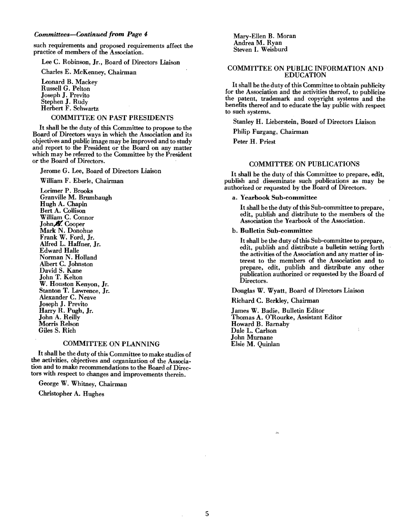such requirements and proposed requirements affect the practice of members of the Association.

Lee C. Robinson, Jr., Board of Directors Liaison

Charles E. McKenney, Chairman

Leonard B. Mackey Russell G. Pelton Joseph J. Previto Stephen J. RUdy Herbert F. Schwartz

#### COMMITTEE ON PAST PRESIDENTS

It shall be the duty of this Committee to propose to the Board of Directors ways in which the Association and its objectives and public image may be improved and to study and report to the President or the Board on any matter which may be referred to the Committee by the President or the Board of Directors.

Jerome G. Lee, Board of Directors Liaison

William F. Eberle, Chairman

Lorimer P. Brooks Granville M. Brumbaugh Hugh A. Chapin Bert A. Collison William C. Connor John & Cooper Mark N. Donohue Frank W. Ford, Jr. Alfred L. Haffner, Jr. Edward Halle Norman N. Holland Albert C. Johnston David S. Kane John T. Kelton W. Houston Kenyon, Jr. Stanton T. Lawrence, Jr. Alexander C. Neave Joseph J. Previto Harry R. Pugh, Jr. John A. Reilly Morris Relson Giles S. Rich

#### COMMITTEE ON PLANNING

It shall be the duty of this Committee to make studies of the activities, objectives and organization of the Association and to make recommendations to the Board of Directors with respect to changes and improvements therein.

George W. Whitney, Chairman

Christopher A. Hughes

Mary-Ellen B. Moran Andrea M. Ryan Steven I. Weisburd

#### COMMITTEE ON PUBLIC INFORMATION AND EDUCATION

It shall be the duty of this Committee to obtain publicity for the Association and the activities thereof, to publicize the patent, trademark and copyright systems and the benefits thereof and to educate the lay public with respect to such systems.

Stanley H. Lieberstein, Board of Directors Liaison

Philip Furgang, Chairman

Peter H. Priest

#### COMMITTEE ON PUBLICATIONS

It shall be the duty of this Committee to prepare, edit, publish and disseminate such publications as may be authorized or requested by the Board of Directors.

a. Yearbook Sub-committee

It shall be the duty of this Sub-committee to prepare, edit, publish and distribute to the members of the Association the Yearbook of the ASSOCIatIon.

b. Bulletin Sub-committee

It shall be the duty of this Sub-committee to prepare. edit, publish and distribute a bulletin setting forth the activities of the Association and any matter of interest to the members of the Association and to prepare, edit, publish and distribute any other publication authorized or requested by the Board of Directors.

Douglas W. Wyatt, Board of Directors Liaison

Richard C. Berkley, Chairman

James W. Badie, Bulletin Editor Thomas A. O'Rourke, Assistant Editor Howard B. Barnaby Dale L. Carlson John Murnane Elsie M. Quinlan